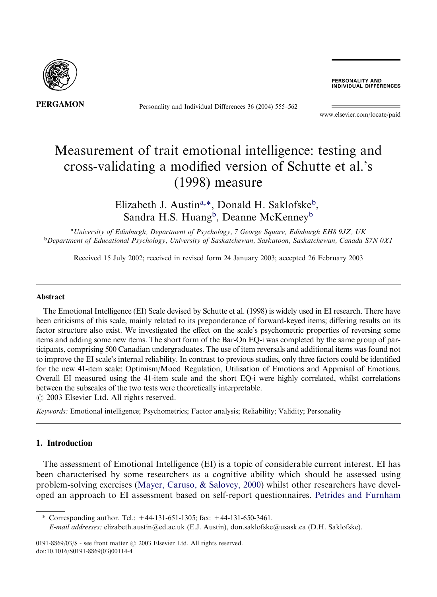

Personality and Individual Differences 36 (2004) 555–562

PERSONALITY AND **INDIVIDUAL DIFFERENCES** 

[www.elsevier.com/locate/paid](http://www.elsevier.com/locate/paid/a4.3d)

# Measurement of trait emotional intelligence: testing and cross-validating a modified version of Schutte et al.'s (1998) measure

Elizabeth J. Austin<sup>a,\*</sup>, Donald H. Saklofske<sup>b</sup>, Sandra H.S. Huang<sup>b</sup>, Deanne McKenney<sup>b</sup>

a University of Edinburgh, Department of Psychology, 7 George Square, Edinburgh EH8 9JZ, UK <sup>b</sup>Department of Educational Psychology, University of Saskatchewan, Saskatoon, Saskatchewan, Canada S7N 0X1

Received 15 July 2002; received in revised form 24 January 2003; accepted 26 February 2003

#### Abstract

The Emotional Intelligence (EI) Scale devised by Schutte et al. (1998) is widely used in EI research. There have been criticisms of this scale, mainly related to its preponderance of forward-keyed items; differing results on its factor structure also exist. We investigated the effect on the scale's psychometric properties of reversing some items and adding some new items. The short form of the Bar-On EQ-i was completed by the same group of participants, comprising 500 Canadian undergraduates. The use of item reversals and additional items was found not to improve the EI scale's internal reliability. In contrast to previous studies, only three factors could be identified for the new 41-item scale: Optimism/Mood Regulation, Utilisation of Emotions and Appraisal of Emotions. Overall EI measured using the 41-item scale and the short EQ-i were highly correlated, whilst correlations between the subscales of the two tests were theoretically interpretable.  $\odot$  2003 Elsevier Ltd. All rights reserved.

Keywords: Emotional intelligence; Psychometrics; Factor analysis; Reliability; Validity; Personality

## 1. Introduction

The assessment of Emotional Intelligence (EI) is a topic of considerable current interest. EI has been characterised by some researchers as a cognitive ability which should be assessed using problem-solving exercises [\(Mayer, Caruso, & Salovey, 2000\)](#page--1-0) whilst other researchers have developed an approach to EI assessment based on self-report questionnaires. [Petrides and Furnham](#page--1-0)

Corresponding author. Tel.:  $+44-131-651-1305$ ; fax:  $+44-131-650-3461$ .

E-mail addresses: [elizabeth.austin@ed.ac.uk](mailto:elizabeth.austin@ed.ac.uk) (E.J. Austin), [don.saklofske@usask.ca](mailto:don.saklofske@usask.ca) (D.H. Saklofske).

0191-8869/03/\$ - see front matter  $\odot$  2003 Elsevier Ltd. All rights reserved. doi:10.1016/S0191-8869(03)00114-4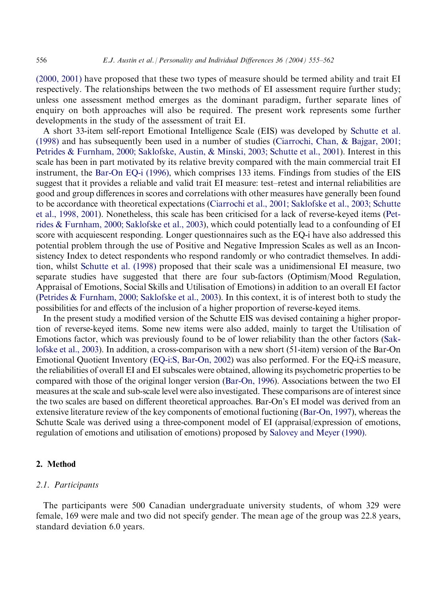[\(2000, 2001\)](#page--1-0) have proposed that these two types of measure should be termed ability and trait EI respectively. The relationships between the two methods of EI assessment require further study; unless one assessment method emerges as the dominant paradigm, further separate lines of enquiry on both approaches will also be required. The present work represents some further developments in the study of the assessment of trait EI.

A short 33-item self-report Emotional Intelligence Scale (EIS) was developed by [Schutte et al.](#page--1-0) [\(1998\)](#page--1-0) and has subsequently been used in a number of studies [\(Ciarrochi, Chan, & Bajgar, 2001;](#page--1-0) [Petrides & Furnham, 2000; Saklofske, Austin, & Minski, 2003; Schutte et al., 2001](#page--1-0)). Interest in this scale has been in part motivated by its relative brevity compared with the main commercial trait EI instrument, the [Bar-On EQ-i \(1996\),](#page--1-0) which comprises 133 items. Findings from studies of the EIS suggest that it provides a reliable and valid trait EI measure: test–retest and internal reliabilities are good and group differences in scores and correlations with other measures have generally been found to be accordance with theoretical expectations ([Ciarrochi et al., 2001; Saklofske et al., 2003; Schutte](#page--1-0) [et al., 1998, 2001](#page--1-0)). Nonetheless, this scale has been criticised for a lack of reverse-keyed items ([Pet](#page--1-0)[rides & Furnham, 2000; Saklofske et al., 2003](#page--1-0)), which could potentially lead to a confounding of EI score with acquiescent responding. Longer questionnaires such as the EQ-i have also addressed this potential problem through the use of Positive and Negative Impression Scales as well as an Inconsistency Index to detect respondents who respond randomly or who contradict themselves. In addition, whilst [Schutte et al. \(1998\)](#page--1-0) proposed that their scale was a unidimensional EI measure, two separate studies have suggested that there are four sub-factors (Optimism/Mood Regulation, Appraisal of Emotions, Social Skills and Utilisation of Emotions) in addition to an overall EI factor [\(Petrides & Furnham, 2000; Saklofske et al., 2003\)](#page--1-0). In this context, it is of interest both to study the possibilities for and effects of the inclusion of a higher proportion of reverse-keyed items.

In the present study a modified version of the Schutte EIS was devised containing a higher proportion of reverse-keyed items. Some new items were also added, mainly to target the Utilisation of Emotions factor, which was previously found to be of lower reliability than the other factors [\(Sak](#page--1-0)[lofske et al., 2003](#page--1-0)). In addition, a cross-comparison with a new short (51-item) version of the Bar-On Emotional Quotient Inventory [\(EQ-i:S, Bar-On, 2002](#page--1-0)) was also performed. For the EQ-i:S measure, the reliabilities of overall EI and EI subscales were obtained, allowing its psychometric properties to be compared with those of the original longer version [\(Bar-On, 1996\)](#page--1-0). Associations between the two EI measures at the scale and sub-scale level were also investigated. These comparisons are of interest since the two scales are based on different theoretical approaches. Bar-On's EI model was derived from an extensive literature review of the key components of emotional fuctioning (Bar-On, 1997), whereas the Schutte Scale was derived using a three-component model of EI (appraisal/expression of emotions, regulation of emotions and utilisation of emotions) proposed by [Salovey and Meyer \(1990\).](#page--1-0)

#### 2. Method

## 2.1. Participants

The participants were 500 Canadian undergraduate university students, of whom 329 were female, 169 were male and two did not specify gender. The mean age of the group was 22.8 years, standard deviation 6.0 years.